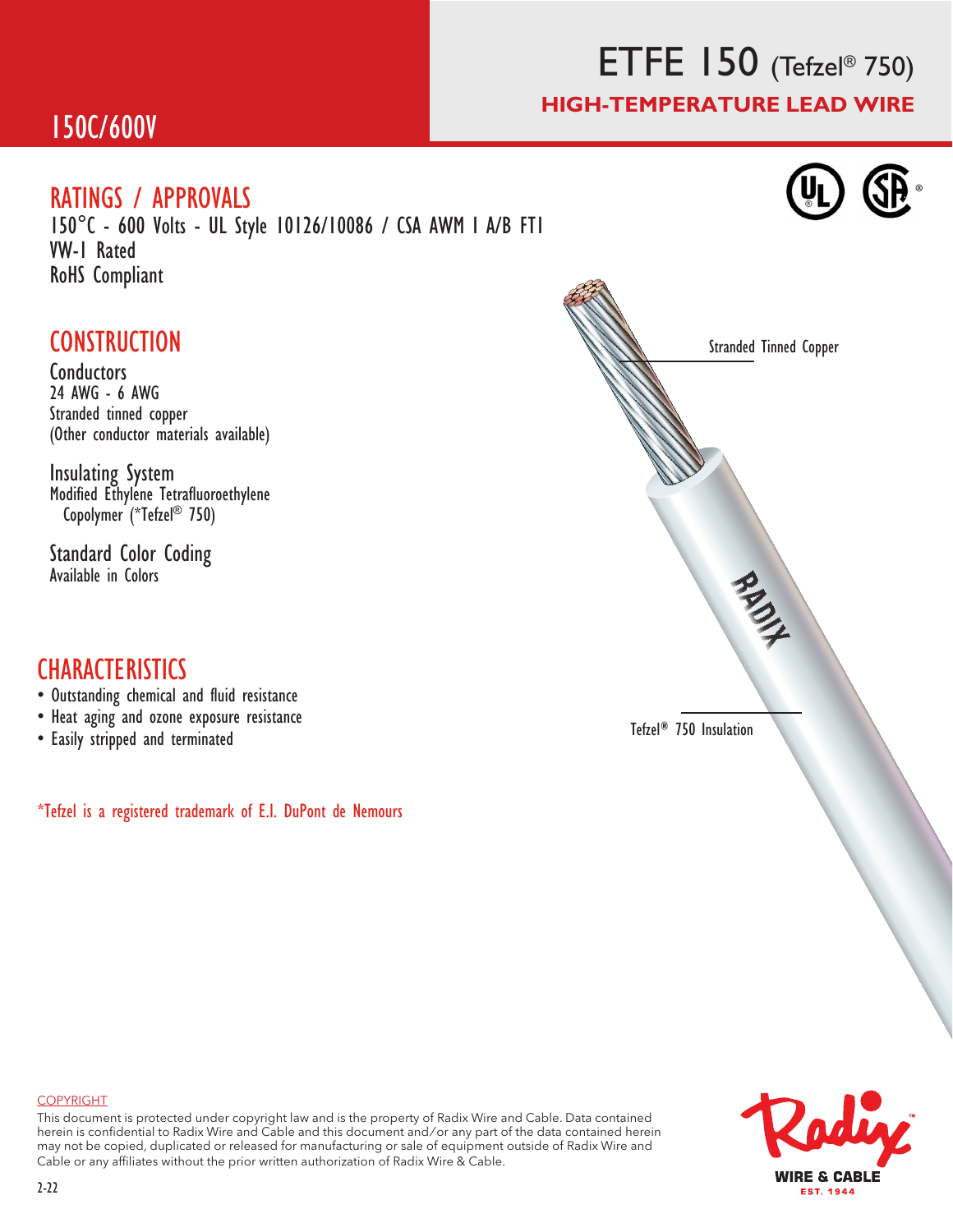## ETFE 150 (Tefzel® 750) HIGH-TEMPERATURE LEAD WIRE

®

### 150C/600V

#### RATINGS / APPROVALS

150°C - 600 Volts - UL Style 10126/10086 / CSA AWM I A/B FT1 VW-1 Rated RoHS Compliant

### **CONSTRUCTION**

**Conductors** 24 AWG - 6 AWG Stranded tinned copper (Other conductor materials available)

Insulating System Modified Ethylene Tetrafluoroethylene Copolymer (\*Tefzel® 750)

Standard Color Coding Available in Colors

#### **CHARACTERISTICS**

- Outstanding chemical and fluid resistance
- Heat aging and ozone exposure resistance
- Easily stripped and terminated

\*Tefzel is a registered trademark of E.I. DuPont de Nemours





#### COPYRIGHT

This document is protected under copyright law and is the property of Radix Wire and Cable. Data contained herein is confidential to Radix Wire and Cable and this document and / or any part of the data contained herein may not be copied, duplicated or released for manufacturing or sale of equipment outside of Radix Wire and Cable or any affiliates without the prior written authorization of Radix Wire & Cable.